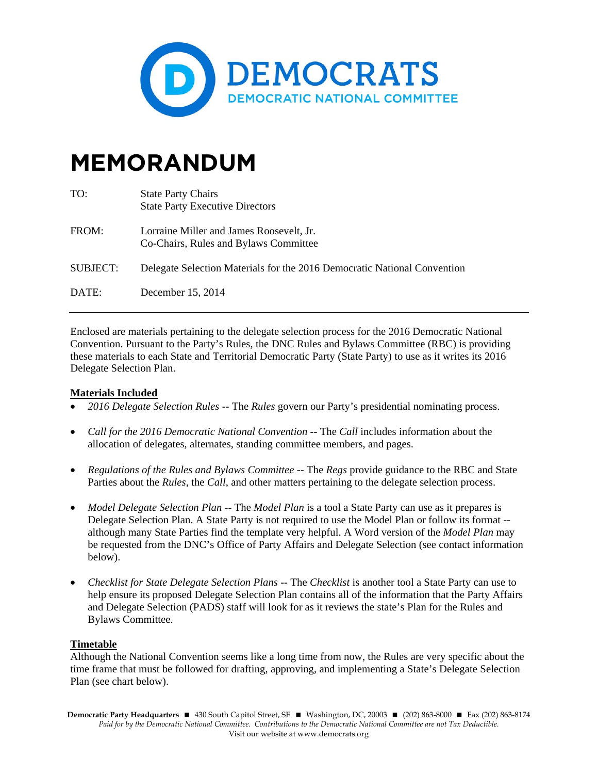

# **MEMORANDUM**

| <b>State Party Chairs</b><br><b>State Party Executive Directors</b>               |
|-----------------------------------------------------------------------------------|
| Lorraine Miller and James Roosevelt, Jr.<br>Co-Chairs, Rules and Bylaws Committee |
| Delegate Selection Materials for the 2016 Democratic National Convention          |
| December 15, 2014                                                                 |
|                                                                                   |

Enclosed are materials pertaining to the delegate selection process for the 2016 Democratic National Convention. Pursuant to the Party's Rules, the DNC Rules and Bylaws Committee (RBC) is providing these materials to each State and Territorial Democratic Party (State Party) to use as it writes its 2016 Delegate Selection Plan.

# **Materials Included**

- *2016 Delegate Selection Rules --* The *Rules* govern our Party's presidential nominating process.
- *Call for the 2016 Democratic National Convention --* The *Call* includes information about the allocation of delegates, alternates, standing committee members, and pages.
- *Regulations of the Rules and Bylaws Committee --* The *Regs* provide guidance to the RBC and State Parties about the *Rules*, the *Call*, and other matters pertaining to the delegate selection process.
- *Model Delegate Selection Plan --* The *Model Plan* is a tool a State Party can use as it prepares is Delegate Selection Plan. A State Party is not required to use the Model Plan or follow its format - although many State Parties find the template very helpful. A Word version of the *Model Plan* may be requested from the DNC's Office of Party Affairs and Delegate Selection (see contact information below).
- *Checklist for State Delegate Selection Plans --* The *Checklist* is another tool a State Party can use to help ensure its proposed Delegate Selection Plan contains all of the information that the Party Affairs and Delegate Selection (PADS) staff will look for as it reviews the state's Plan for the Rules and Bylaws Committee.

## **Timetable**

Although the National Convention seems like a long time from now, the Rules are very specific about the time frame that must be followed for drafting, approving, and implementing a State's Delegate Selection Plan (see chart below).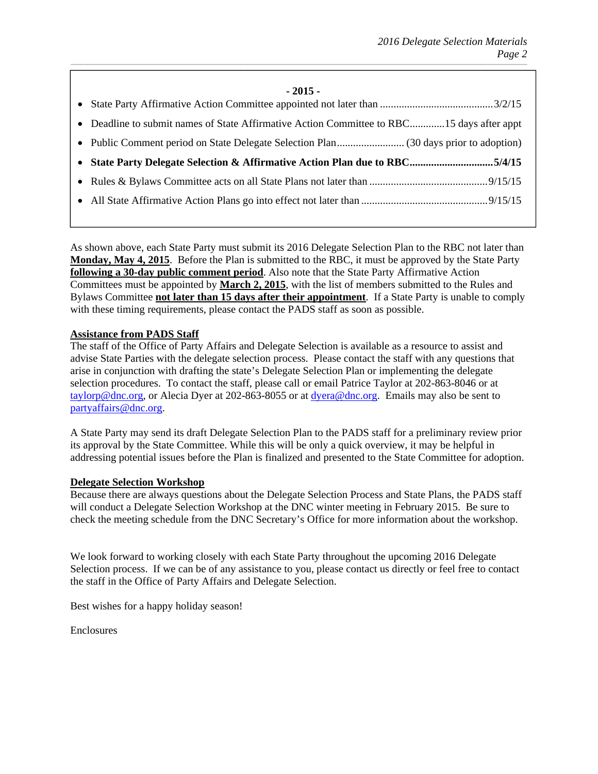#### **- 2015 -**

\_\_\_\_\_\_\_\_\_\_\_\_\_\_\_\_\_\_\_\_\_\_\_\_\_\_\_\_\_\_\_\_\_\_\_\_\_\_\_\_\_\_\_\_\_\_\_\_\_\_\_\_\_\_\_\_\_\_\_\_\_\_\_\_\_\_\_\_\_\_\_\_\_\_\_\_\_\_\_\_\_\_\_\_\_\_\_\_\_\_\_\_\_\_\_\_\_\_\_\_\_\_\_\_\_\_\_\_\_\_\_\_\_\_\_\_\_\_\_\_\_\_\_\_\_\_\_\_\_\_\_\_\_\_\_\_\_\_\_\_\_\_\_\_\_\_\_\_\_\_\_\_\_\_\_\_\_\_\_\_\_\_\_\_\_\_\_\_\_\_\_\_\_\_\_\_\_\_\_\_\_\_\_\_\_\_\_

| • Deadline to submit names of State Affirmative Action Committee to RBC15 days after appt |
|-------------------------------------------------------------------------------------------|
|                                                                                           |
|                                                                                           |
| • State Party Delegate Selection & Affirmative Action Plan due to RBC5/4/15               |
|                                                                                           |

As shown above, each State Party must submit its 2016 Delegate Selection Plan to the RBC not later than **Monday, May 4, 2015**. Before the Plan is submitted to the RBC, it must be approved by the State Party **following a 30-day public comment period**. Also note that the State Party Affirmative Action Committees must be appointed by **March 2, 2015**, with the list of members submitted to the Rules and Bylaws Committee **not later than 15 days after their appointment**. If a State Party is unable to comply with these timing requirements, please contact the PADS staff as soon as possible.

### **Assistance from PADS Staff**

The staff of the Office of Party Affairs and Delegate Selection is available as a resource to assist and advise State Parties with the delegate selection process. Please contact the staff with any questions that arise in conjunction with drafting the state's Delegate Selection Plan or implementing the delegate selection procedures. To contact the staff, please call or email Patrice Taylor at 202-863-8046 or at taylorp@dnc.org, or Alecia Dyer at 202-863-8055 or at dyera@dnc.org. Emails may also be sent to partyaffairs@dnc.org.

A State Party may send its draft Delegate Selection Plan to the PADS staff for a preliminary review prior its approval by the State Committee. While this will be only a quick overview, it may be helpful in addressing potential issues before the Plan is finalized and presented to the State Committee for adoption.

### **Delegate Selection Workshop**

Because there are always questions about the Delegate Selection Process and State Plans, the PADS staff will conduct a Delegate Selection Workshop at the DNC winter meeting in February 2015. Be sure to check the meeting schedule from the DNC Secretary's Office for more information about the workshop.

We look forward to working closely with each State Party throughout the upcoming 2016 Delegate Selection process. If we can be of any assistance to you, please contact us directly or feel free to contact the staff in the Office of Party Affairs and Delegate Selection.

Best wishes for a happy holiday season!

Enclosures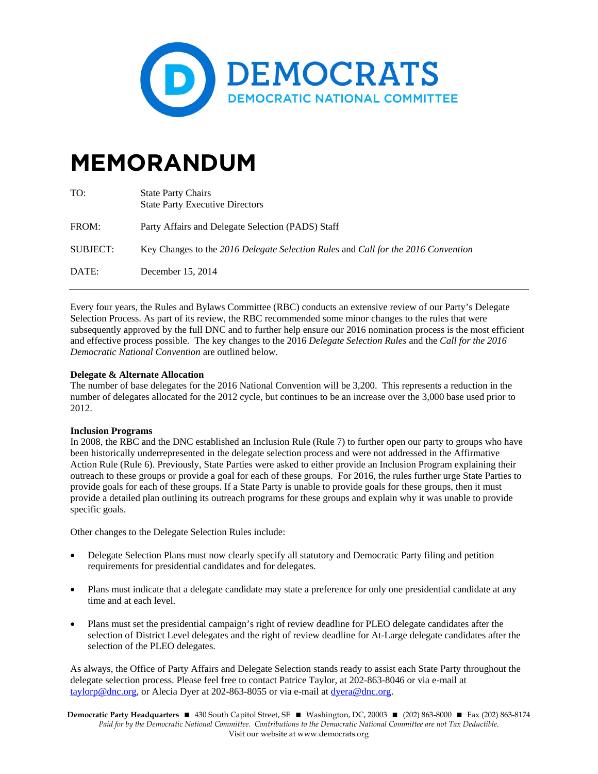

# **MEMORANDUM**

| TO:             | <b>State Party Chairs</b><br><b>State Party Executive Directors</b>               |
|-----------------|-----------------------------------------------------------------------------------|
| FROM:           | Party Affairs and Delegate Selection (PADS) Staff                                 |
| <b>SUBJECT:</b> | Key Changes to the 2016 Delegate Selection Rules and Call for the 2016 Convention |
| DATE:           | December 15, 2014                                                                 |

Every four years, the Rules and Bylaws Committee (RBC) conducts an extensive review of our Party's Delegate Selection Process. As part of its review, the RBC recommended some minor changes to the rules that were subsequently approved by the full DNC and to further help ensure our 2016 nomination process is the most efficient and effective process possible. The key changes to the 2016 *Delegate Selection Rules* and the *Call for the 2016 Democratic National Convention* are outlined below.

#### **Delegate & Alternate Allocation**

The number of base delegates for the 2016 National Convention will be 3,200. This represents a reduction in the number of delegates allocated for the 2012 cycle, but continues to be an increase over the 3,000 base used prior to 2012.

#### **Inclusion Programs**

In 2008, the RBC and the DNC established an Inclusion Rule (Rule 7) to further open our party to groups who have been historically underrepresented in the delegate selection process and were not addressed in the Affirmative Action Rule (Rule 6). Previously, State Parties were asked to either provide an Inclusion Program explaining their outreach to these groups or provide a goal for each of these groups. For 2016, the rules further urge State Parties to provide goals for each of these groups. If a State Party is unable to provide goals for these groups, then it must provide a detailed plan outlining its outreach programs for these groups and explain why it was unable to provide specific goals.

Other changes to the Delegate Selection Rules include:

- Delegate Selection Plans must now clearly specify all statutory and Democratic Party filing and petition requirements for presidential candidates and for delegates.
- Plans must indicate that a delegate candidate may state a preference for only one presidential candidate at any time and at each level.
- Plans must set the presidential campaign's right of review deadline for PLEO delegate candidates after the selection of District Level delegates and the right of review deadline for At-Large delegate candidates after the selection of the PLEO delegates.

As always, the Office of Party Affairs and Delegate Selection stands ready to assist each State Party throughout the delegate selection process. Please feel free to contact Patrice Taylor, at 202-863-8046 or via e-mail at taylorp@dnc.org, or Alecia Dyer at 202-863-8055 or via e-mail at dyera@dnc.org.

**Democratic Party Headquarters ■** 430 South Capitol Street, SE ■ Washington, DC, 20003 ■ (202) 863-8000 ■ Fax (202) 863-8174 *Paid for by the Democratic National Committee. Contributions to the Democratic National Committee are not Tax Deductible.*  Visit our website at www.democrats.org